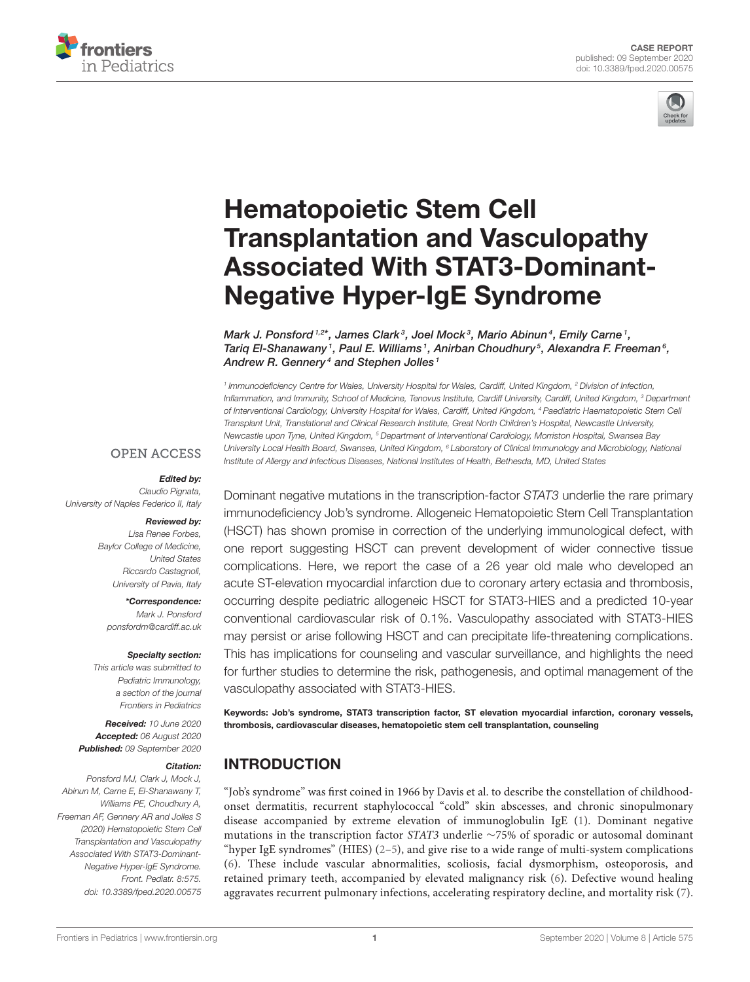



# Hematopoietic Stem Cell Transplantation and Vasculopathy [Associated With STAT3-Dominant-](https://www.frontiersin.org/articles/10.3389/fped.2020.00575/full)Negative Hyper-IgE Syndrome

Mark J. Ponsford  $1,2^*$ , James Clark $^3$ , Joel Mock $^3$ , Mario Abinun $^4$ , Emily Carne  $^1$ , Tariq El-Shanawany1, Paul E. Williams1, Anirban Choudhury5, Alexandra F. Freeman6, Andrew R. Gennery<sup>4</sup> and Stephen Jolles<sup>1</sup>

*1 Immunodeficiency Centre for Wales, University Hospital for Wales, Cardiff, United Kingdom, <sup>2</sup> Division of Infection, Inflammation, and Immunity, School of Medicine, Tenovus Institute, Cardiff University, Cardiff, United Kingdom, <sup>3</sup> Department of Interventional Cardiology, University Hospital for Wales, Cardiff, United Kingdom, <sup>4</sup> Paediatric Haematopoietic Stem Cell Transplant Unit, Translational and Clinical Research Institute, Great North Children's Hospital, Newcastle University, Newcastle upon Tyne, United Kingdom, <sup>5</sup> Department of Interventional Cardiology, Morriston Hospital, Swansea Bay University Local Health Board, Swansea, United Kingdom, <sup>6</sup> Laboratory of Clinical Immunology and Microbiology, National Institute of Allergy and Infectious Diseases, National Institutes of Health, Bethesda, MD, United States*

#### **OPEN ACCESS**

#### Edited by:

*Claudio Pignata, University of Naples Federico II, Italy*

#### Reviewed by: *Lisa Renee Forbes,*

*Baylor College of Medicine, United States Riccardo Castagnoli, University of Pavia, Italy*

\*Correspondence: *Mark J. Ponsford [ponsfordm@cardiff.ac.uk](mailto:ponsfordm@cardiff.ac.uk)*

#### Specialty section:

*This article was submitted to Pediatric Immunology, a section of the journal Frontiers in Pediatrics*

Received: *10 June 2020* Accepted: *06 August 2020* Published: *09 September 2020*

#### Citation:

*Ponsford MJ, Clark J, Mock J, Abinun M, Carne E, El-Shanawany T, Williams PE, Choudhury A, Freeman AF, Gennery AR and Jolles S (2020) Hematopoietic Stem Cell Transplantation and Vasculopathy Associated With STAT3-Dominant-Negative Hyper-IgE Syndrome. Front. Pediatr. 8:575. doi: [10.3389/fped.2020.00575](https://doi.org/10.3389/fped.2020.00575)*

Dominant negative mutations in the transcription-factor *STAT3* underlie the rare primary immunodeficiency Job's syndrome. Allogeneic Hematopoietic Stem Cell Transplantation (HSCT) has shown promise in correction of the underlying immunological defect, with one report suggesting HSCT can prevent development of wider connective tissue complications. Here, we report the case of a 26 year old male who developed an acute ST-elevation myocardial infarction due to coronary artery ectasia and thrombosis, occurring despite pediatric allogeneic HSCT for STAT3-HIES and a predicted 10-year conventional cardiovascular risk of 0.1%. Vasculopathy associated with STAT3-HIES may persist or arise following HSCT and can precipitate life-threatening complications. This has implications for counseling and vascular surveillance, and highlights the need for further studies to determine the risk, pathogenesis, and optimal management of the vasculopathy associated with STAT3-HIES.

Keywords: Job's syndrome, STAT3 transcription factor, ST elevation myocardial infarction, coronary vessels, thrombosis, cardiovascular diseases, hematopoietic stem cell transplantation, counseling

# INTRODUCTION

"Job's syndrome" was first coined in 1966 by Davis et al. to describe the constellation of childhoodonset dermatitis, recurrent staphylococcal "cold" skin abscesses, and chronic sinopulmonary disease accompanied by extreme elevation of immunoglobulin IgE [\(1\)](#page-5-0). Dominant negative mutations in the transcription factor STAT3 underlie ∼75% of sporadic or autosomal dominant "hyper IgE syndromes" (HIES)  $(2-5)$  $(2-5)$ , and give rise to a wide range of multi-system complications [\(6\)](#page-5-3). These include vascular abnormalities, scoliosis, facial dysmorphism, osteoporosis, and retained primary teeth, accompanied by elevated malignancy risk [\(6\)](#page-5-3). Defective wound healing aggravates recurrent pulmonary infections, accelerating respiratory decline, and mortality risk [\(7\)](#page-5-4).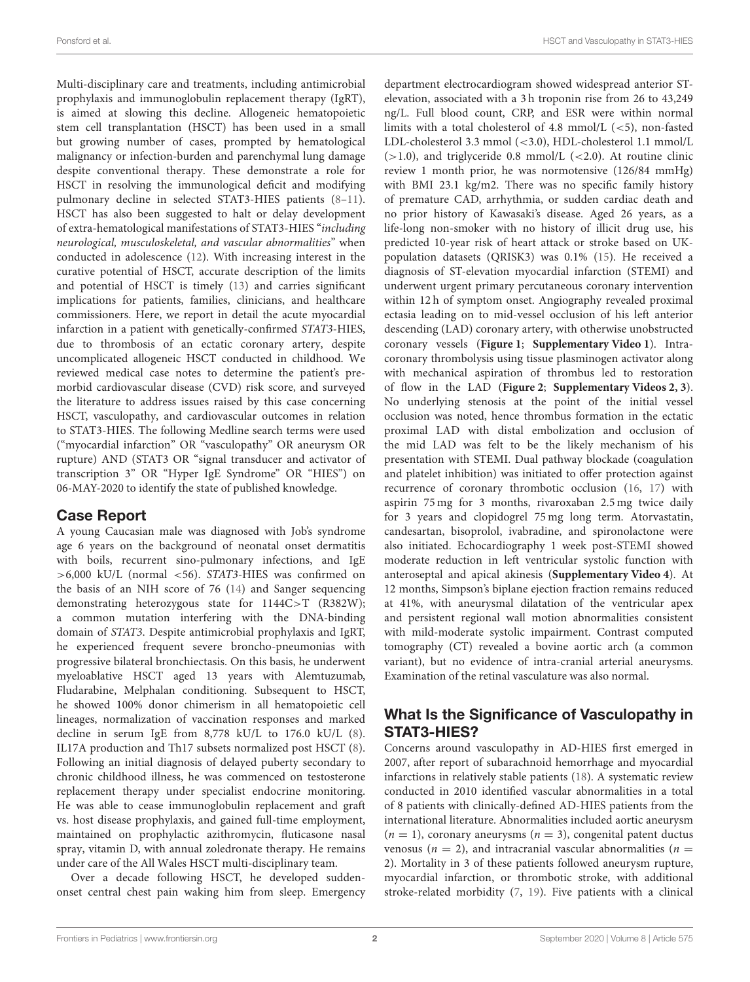Multi-disciplinary care and treatments, including antimicrobial prophylaxis and immunoglobulin replacement therapy (IgRT), is aimed at slowing this decline. Allogeneic hematopoietic stem cell transplantation (HSCT) has been used in a small but growing number of cases, prompted by hematological malignancy or infection-burden and parenchymal lung damage despite conventional therapy. These demonstrate a role for HSCT in resolving the immunological deficit and modifying pulmonary decline in selected STAT3-HIES patients [\(8–](#page-5-5)[11\)](#page-5-6). HSCT has also been suggested to halt or delay development of extra-hematological manifestations of STAT3-HIES "including neurological, musculoskeletal, and vascular abnormalities" when conducted in adolescence [\(12\)](#page-5-7). With increasing interest in the curative potential of HSCT, accurate description of the limits and potential of HSCT is timely [\(13\)](#page-5-8) and carries significant implications for patients, families, clinicians, and healthcare commissioners. Here, we report in detail the acute myocardial infarction in a patient with genetically-confirmed STAT3-HIES, due to thrombosis of an ectatic coronary artery, despite uncomplicated allogeneic HSCT conducted in childhood. We reviewed medical case notes to determine the patient's premorbid cardiovascular disease (CVD) risk score, and surveyed the literature to address issues raised by this case concerning HSCT, vasculopathy, and cardiovascular outcomes in relation to STAT3-HIES. The following Medline search terms were used ("myocardial infarction" OR "vasculopathy" OR aneurysm OR rupture) AND (STAT3 OR "signal transducer and activator of transcription 3" OR "Hyper IgE Syndrome" OR "HIES") on 06-MAY-2020 to identify the state of published knowledge.

#### Case Report

A young Caucasian male was diagnosed with Job's syndrome age 6 years on the background of neonatal onset dermatitis with boils, recurrent sino-pulmonary infections, and IgE >6,000 kU/L (normal <56). STAT3-HIES was confirmed on the basis of an NIH score of 76 [\(14\)](#page-6-0) and Sanger sequencing demonstrating heterozygous state for 1144C>T (R382W); a common mutation interfering with the DNA-binding domain of STAT3. Despite antimicrobial prophylaxis and IgRT, he experienced frequent severe broncho-pneumonias with progressive bilateral bronchiectasis. On this basis, he underwent myeloablative HSCT aged 13 years with Alemtuzumab, Fludarabine, Melphalan conditioning. Subsequent to HSCT, he showed 100% donor chimerism in all hematopoietic cell lineages, normalization of vaccination responses and marked decline in serum IgE from 8,778 kU/L to 176.0 kU/L [\(8\)](#page-5-5). IL17A production and Th17 subsets normalized post HSCT [\(8\)](#page-5-5). Following an initial diagnosis of delayed puberty secondary to chronic childhood illness, he was commenced on testosterone replacement therapy under specialist endocrine monitoring. He was able to cease immunoglobulin replacement and graft vs. host disease prophylaxis, and gained full-time employment, maintained on prophylactic azithromycin, fluticasone nasal spray, vitamin D, with annual zoledronate therapy. He remains under care of the All Wales HSCT multi-disciplinary team.

Over a decade following HSCT, he developed suddenonset central chest pain waking him from sleep. Emergency department electrocardiogram showed widespread anterior STelevation, associated with a 3 h troponin rise from 26 to 43,249 ng/L. Full blood count, CRP, and ESR were within normal limits with a total cholesterol of 4.8 mmol/L  $(<5)$ , non-fasted LDL-cholesterol 3.3 mmol (<3.0), HDL-cholesterol 1.1 mmol/L  $(>1.0)$ , and triglyceride 0.8 mmol/L  $(<2.0)$ . At routine clinic review 1 month prior, he was normotensive (126/84 mmHg) with BMI 23.1 kg/m2. There was no specific family history of premature CAD, arrhythmia, or sudden cardiac death and no prior history of Kawasaki's disease. Aged 26 years, as a life-long non-smoker with no history of illicit drug use, his predicted 10-year risk of heart attack or stroke based on UKpopulation datasets (QRISK3) was 0.1% [\(15\)](#page-6-1). He received a diagnosis of ST-elevation myocardial infarction (STEMI) and underwent urgent primary percutaneous coronary intervention within 12 h of symptom onset. Angiography revealed proximal ectasia leading on to mid-vessel occlusion of his left anterior descending (LAD) coronary artery, with otherwise unobstructed coronary vessels (**[Figure 1](#page-2-0)**; **[Supplementary Video 1](#page-5-9)**). Intracoronary thrombolysis using tissue plasminogen activator along with mechanical aspiration of thrombus led to restoration of flow in the LAD (**[Figure 2](#page-2-1)**; **[Supplementary Videos 2, 3](#page-5-10)**). No underlying stenosis at the point of the initial vessel occlusion was noted, hence thrombus formation in the ectatic proximal LAD with distal embolization and occlusion of the mid LAD was felt to be the likely mechanism of his presentation with STEMI. Dual pathway blockade (coagulation and platelet inhibition) was initiated to offer protection against recurrence of coronary thrombotic occlusion [\(16,](#page-6-2) [17\)](#page-6-3) with aspirin 75 mg for 3 months, rivaroxaban 2.5 mg twice daily for 3 years and clopidogrel 75 mg long term. Atorvastatin, candesartan, bisoprolol, ivabradine, and spironolactone were also initiated. Echocardiography 1 week post-STEMI showed moderate reduction in left ventricular systolic function with anteroseptal and apical akinesis (**[Supplementary Video 4](#page-5-11)**). At 12 months, Simpson's biplane ejection fraction remains reduced at 41%, with aneurysmal dilatation of the ventricular apex and persistent regional wall motion abnormalities consistent with mild-moderate systolic impairment. Contrast computed tomography (CT) revealed a bovine aortic arch (a common variant), but no evidence of intra-cranial arterial aneurysms. Examination of the retinal vasculature was also normal.

#### What Is the Significance of Vasculopathy in STAT3-HIES?

Concerns around vasculopathy in AD-HIES first emerged in 2007, after report of subarachnoid hemorrhage and myocardial infarctions in relatively stable patients [\(18\)](#page-6-4). A systematic review conducted in 2010 identified vascular abnormalities in a total of 8 patients with clinically-defined AD-HIES patients from the international literature. Abnormalities included aortic aneurysm  $(n = 1)$ , coronary aneurysms  $(n = 3)$ , congenital patent ductus venosus ( $n = 2$ ), and intracranial vascular abnormalities ( $n =$ 2). Mortality in 3 of these patients followed aneurysm rupture, myocardial infarction, or thrombotic stroke, with additional stroke-related morbidity [\(7,](#page-5-4) [19\)](#page-6-5). Five patients with a clinical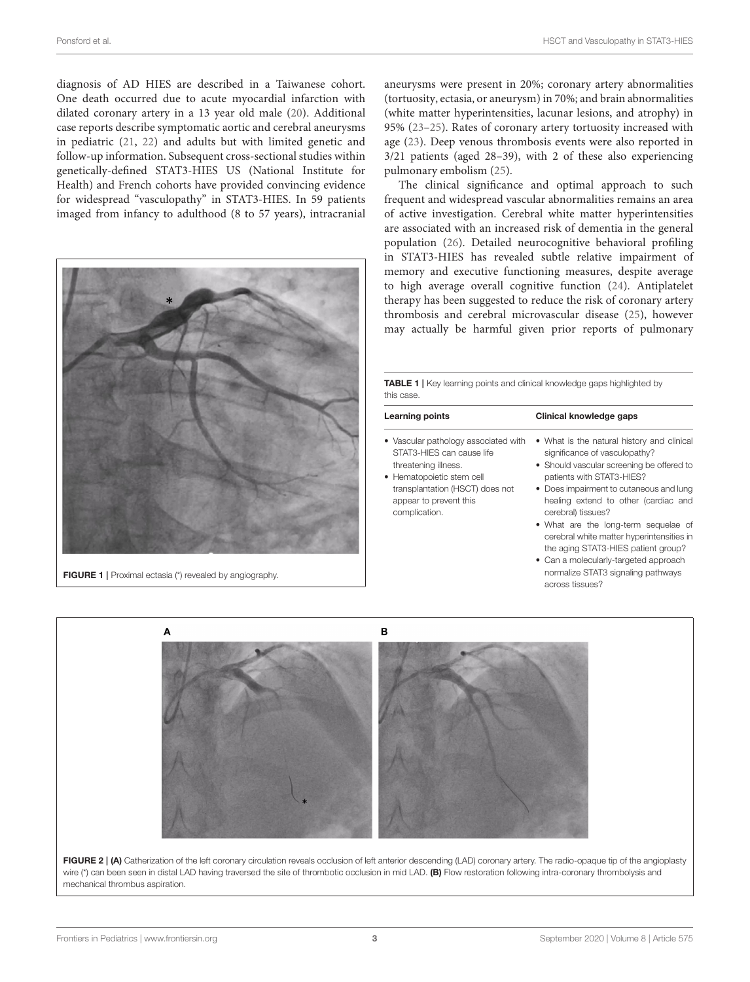diagnosis of AD HIES are described in a Taiwanese cohort. One death occurred due to acute myocardial infarction with dilated coronary artery in a 13 year old male [\(20\)](#page-6-6). Additional case reports describe symptomatic aortic and cerebral aneurysms in pediatric [\(21,](#page-6-7) [22\)](#page-6-8) and adults but with limited genetic and follow-up information. Subsequent cross-sectional studies within genetically-defined STAT3-HIES US (National Institute for Health) and French cohorts have provided convincing evidence for widespread "vasculopathy" in STAT3-HIES. In 59 patients imaged from infancy to adulthood (8 to 57 years), intracranial



aneurysms were present in 20%; coronary artery abnormalities (tortuosity, ectasia, or aneurysm) in 70%; and brain abnormalities (white matter hyperintensities, lacunar lesions, and atrophy) in 95% [\(23](#page-6-9)[–25\)](#page-6-10). Rates of coronary artery tortuosity increased with age [\(23\)](#page-6-9). Deep venous thrombosis events were also reported in 3/21 patients (aged 28–39), with 2 of these also experiencing pulmonary embolism [\(25\)](#page-6-10).

The clinical significance and optimal approach to such frequent and widespread vascular abnormalities remains an area of active investigation. Cerebral white matter hyperintensities are associated with an increased risk of dementia in the general population [\(26\)](#page-6-11). Detailed neurocognitive behavioral profiling in STAT3-HIES has revealed subtle relative impairment of memory and executive functioning measures, despite average to high average overall cognitive function [\(24\)](#page-6-12). Antiplatelet therapy has been suggested to reduce the risk of coronary artery thrombosis and cerebral microvascular disease [\(25\)](#page-6-10), however may actually be harmful given prior reports of pulmonary

<span id="page-2-2"></span>TABLE 1 | Key learning points and clinical knowledge gaps highlighted by this case.

| Learning points                                                                                                                                                                                      | Clinical knowledge gaps                                                                                                                                                                                                                                        |
|------------------------------------------------------------------------------------------------------------------------------------------------------------------------------------------------------|----------------------------------------------------------------------------------------------------------------------------------------------------------------------------------------------------------------------------------------------------------------|
| • Vascular pathology associated with<br>STAT3-HIES can cause life<br>threatening illness.<br>• Hematopoietic stem cell<br>transplantation (HSCT) does not<br>appear to prevent this<br>complication. | • What is the natural history and clinical<br>significance of vasculopathy?<br>• Should vascular screening be offered to<br>patients with STAT3-HIES?<br>• Does impairment to cutaneous and lung<br>healing extend to other (cardiac and<br>cerebral) tissues? |
|                                                                                                                                                                                                      | • What are the long-term sequelae of<br>cerebral white matter hyperintensities in<br>the aging STAT3-HIES patient group?<br>• Can a molecularly-targeted approach<br>normalize STAT3 signaling pathways                                                        |

across tissues?

<span id="page-2-0"></span>

<span id="page-2-1"></span>FIGURE 2 | (A) Catherization of the left coronary circulation reveals occlusion of left anterior descending (LAD) coronary artery. The radio-opaque tip of the angioplasty wire (\*) can been seen in distal LAD having traversed the site of thrombotic occlusion in mid LAD. (B) Flow restoration following intra-coronary thrombolysis and mechanical thrombus aspiration.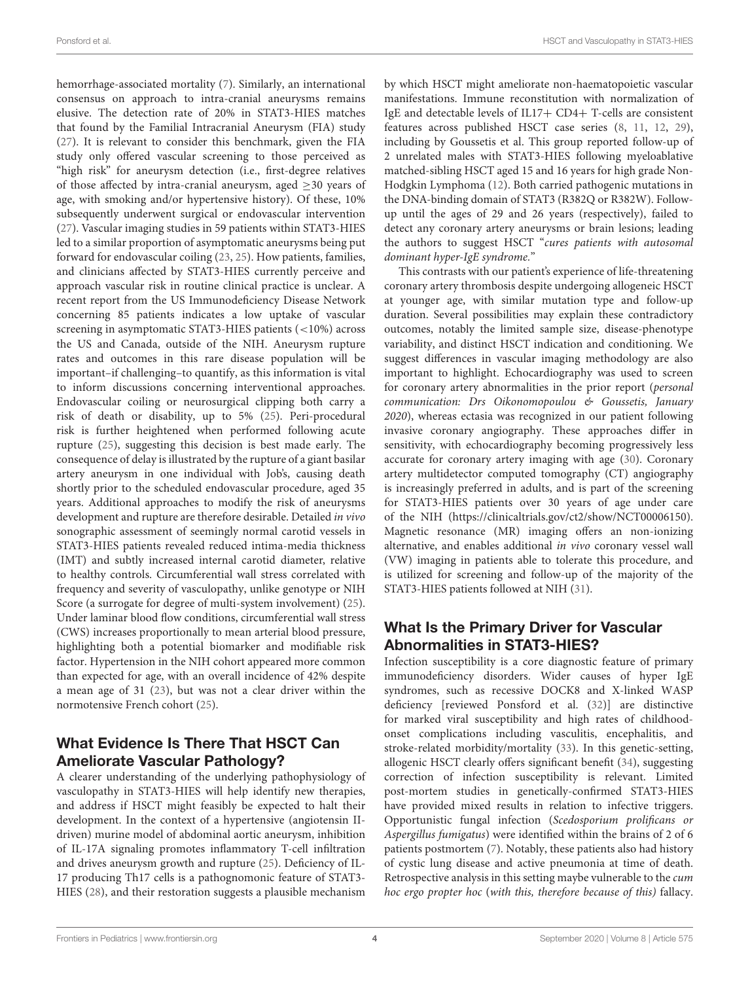hemorrhage-associated mortality [\(7\)](#page-5-4). Similarly, an international consensus on approach to intra-cranial aneurysms remains elusive. The detection rate of 20% in STAT3-HIES matches that found by the Familial Intracranial Aneurysm (FIA) study [\(27\)](#page-6-13). It is relevant to consider this benchmark, given the FIA study only offered vascular screening to those perceived as "high risk" for aneurysm detection (i.e., first-degree relatives of those affected by intra-cranial aneurysm, aged  $\geq$ 30 years of age, with smoking and/or hypertensive history). Of these, 10% subsequently underwent surgical or endovascular intervention [\(27\)](#page-6-13). Vascular imaging studies in 59 patients within STAT3-HIES led to a similar proportion of asymptomatic aneurysms being put forward for endovascular coiling [\(23,](#page-6-9) [25\)](#page-6-10). How patients, families, and clinicians affected by STAT3-HIES currently perceive and approach vascular risk in routine clinical practice is unclear. A recent report from the US Immunodeficiency Disease Network concerning 85 patients indicates a low uptake of vascular screening in asymptomatic STAT3-HIES patients (<10%) across the US and Canada, outside of the NIH. Aneurysm rupture rates and outcomes in this rare disease population will be important–if challenging–to quantify, as this information is vital to inform discussions concerning interventional approaches. Endovascular coiling or neurosurgical clipping both carry a risk of death or disability, up to 5% [\(25\)](#page-6-10). Peri-procedural risk is further heightened when performed following acute rupture [\(25\)](#page-6-10), suggesting this decision is best made early. The consequence of delay is illustrated by the rupture of a giant basilar artery aneurysm in one individual with Job's, causing death shortly prior to the scheduled endovascular procedure, aged 35 years. Additional approaches to modify the risk of aneurysms development and rupture are therefore desirable. Detailed in vivo sonographic assessment of seemingly normal carotid vessels in STAT3-HIES patients revealed reduced intima-media thickness (IMT) and subtly increased internal carotid diameter, relative to healthy controls. Circumferential wall stress correlated with frequency and severity of vasculopathy, unlike genotype or NIH Score (a surrogate for degree of multi-system involvement) [\(25\)](#page-6-10). Under laminar blood flow conditions, circumferential wall stress (CWS) increases proportionally to mean arterial blood pressure, highlighting both a potential biomarker and modifiable risk factor. Hypertension in the NIH cohort appeared more common than expected for age, with an overall incidence of 42% despite a mean age of 31 [\(23\)](#page-6-9), but was not a clear driver within the normotensive French cohort [\(25\)](#page-6-10).

## What Evidence Is There That HSCT Can Ameliorate Vascular Pathology?

A clearer understanding of the underlying pathophysiology of vasculopathy in STAT3-HIES will help identify new therapies, and address if HSCT might feasibly be expected to halt their development. In the context of a hypertensive (angiotensin IIdriven) murine model of abdominal aortic aneurysm, inhibition of IL-17A signaling promotes inflammatory T-cell infiltration and drives aneurysm growth and rupture [\(25\)](#page-6-10). Deficiency of IL-17 producing Th17 cells is a pathognomonic feature of STAT3- HIES [\(28\)](#page-6-14), and their restoration suggests a plausible mechanism by which HSCT might ameliorate non-haematopoietic vascular manifestations. Immune reconstitution with normalization of IgE and detectable levels of IL17+ CD4+ T-cells are consistent features across published HSCT case series [\(8,](#page-5-5) [11,](#page-5-6) [12,](#page-5-7) [29\)](#page-6-15), including by Goussetis et al. This group reported follow-up of 2 unrelated males with STAT3-HIES following myeloablative matched-sibling HSCT aged 15 and 16 years for high grade Non-Hodgkin Lymphoma [\(12\)](#page-5-7). Both carried pathogenic mutations in the DNA-binding domain of STAT3 (R382Q or R382W). Followup until the ages of 29 and 26 years (respectively), failed to detect any coronary artery aneurysms or brain lesions; leading the authors to suggest HSCT "cures patients with autosomal dominant hyper-IgE syndrome."

This contrasts with our patient's experience of life-threatening coronary artery thrombosis despite undergoing allogeneic HSCT at younger age, with similar mutation type and follow-up duration. Several possibilities may explain these contradictory outcomes, notably the limited sample size, disease-phenotype variability, and distinct HSCT indication and conditioning. We suggest differences in vascular imaging methodology are also important to highlight. Echocardiography was used to screen for coronary artery abnormalities in the prior report (personal communication: Drs Oikonomopoulou & Goussetis, January 2020), whereas ectasia was recognized in our patient following invasive coronary angiography. These approaches differ in sensitivity, with echocardiography becoming progressively less accurate for coronary artery imaging with age [\(30\)](#page-6-16). Coronary artery multidetector computed tomography (CT) angiography is increasingly preferred in adults, and is part of the screening for STAT3-HIES patients over 30 years of age under care of the NIH [\(https://clinicaltrials.gov/ct2/show/NCT00006150\)](https://clinicaltrials.gov/ct2/show/NCT00006150). Magnetic resonance (MR) imaging offers an non-ionizing alternative, and enables additional in vivo coronary vessel wall (VW) imaging in patients able to tolerate this procedure, and is utilized for screening and follow-up of the majority of the STAT3-HIES patients followed at NIH [\(31\)](#page-6-17).

## What Is the Primary Driver for Vascular Abnormalities in STAT3-HIES?

Infection susceptibility is a core diagnostic feature of primary immunodeficiency disorders. Wider causes of hyper IgE syndromes, such as recessive DOCK8 and X-linked WASP deficiency [reviewed Ponsford et al. [\(32\)](#page-6-18)] are distinctive for marked viral susceptibility and high rates of childhoodonset complications including vasculitis, encephalitis, and stroke-related morbidity/mortality [\(33\)](#page-6-19). In this genetic-setting, allogenic HSCT clearly offers significant benefit [\(34\)](#page-6-20), suggesting correction of infection susceptibility is relevant. Limited post-mortem studies in genetically-confirmed STAT3-HIES have provided mixed results in relation to infective triggers. Opportunistic fungal infection (Scedosporium prolificans or Aspergillus fumigatus) were identified within the brains of 2 of 6 patients postmortem [\(7\)](#page-5-4). Notably, these patients also had history of cystic lung disease and active pneumonia at time of death. Retrospective analysis in this setting maybe vulnerable to the cum hoc ergo propter hoc (with this, therefore because of this) fallacy.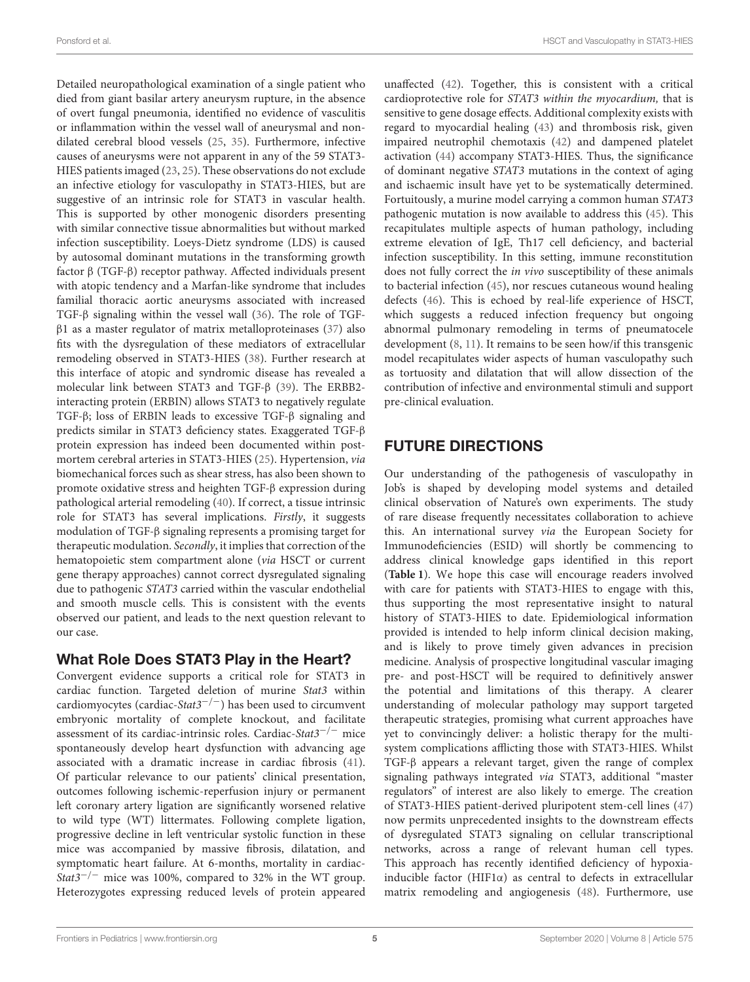Detailed neuropathological examination of a single patient who died from giant basilar artery aneurysm rupture, in the absence of overt fungal pneumonia, identified no evidence of vasculitis or inflammation within the vessel wall of aneurysmal and nondilated cerebral blood vessels [\(25,](#page-6-10) [35\)](#page-6-21). Furthermore, infective causes of aneurysms were not apparent in any of the 59 STAT3- HIES patients imaged [\(23,](#page-6-9) [25\)](#page-6-10). These observations do not exclude an infective etiology for vasculopathy in STAT3-HIES, but are suggestive of an intrinsic role for STAT3 in vascular health. This is supported by other monogenic disorders presenting with similar connective tissue abnormalities but without marked infection susceptibility. Loeys-Dietz syndrome (LDS) is caused by autosomal dominant mutations in the transforming growth factor β (TGF-β) receptor pathway. Affected individuals present with atopic tendency and a Marfan-like syndrome that includes familial thoracic aortic aneurysms associated with increased TGF-β signaling within the vessel wall [\(36\)](#page-6-22). The role of TGF $β1$  as a master regulator of matrix metalloproteinases [\(37\)](#page-6-23) also fits with the dysregulation of these mediators of extracellular remodeling observed in STAT3-HIES [\(38\)](#page-6-24). Further research at this interface of atopic and syndromic disease has revealed a molecular link between STAT3 and TGF-β [\(39\)](#page-6-25). The ERBB2 interacting protein (ERBIN) allows STAT3 to negatively regulate TGF-β; loss of ERBIN leads to excessive TGF-β signaling and predicts similar in STAT3 deficiency states. Exaggerated TGF-β protein expression has indeed been documented within postmortem cerebral arteries in STAT3-HIES [\(25\)](#page-6-10). Hypertension, via biomechanical forces such as shear stress, has also been shown to promote oxidative stress and heighten TGF-β expression during pathological arterial remodeling [\(40\)](#page-6-26). If correct, a tissue intrinsic role for STAT3 has several implications. Firstly, it suggests modulation of TGF-β signaling represents a promising target for therapeutic modulation. Secondly, it implies that correction of the hematopoietic stem compartment alone (via HSCT or current gene therapy approaches) cannot correct dysregulated signaling due to pathogenic STAT3 carried within the vascular endothelial and smooth muscle cells. This is consistent with the events observed our patient, and leads to the next question relevant to our case.

#### What Role Does STAT3 Play in the Heart?

Convergent evidence supports a critical role for STAT3 in cardiac function. Targeted deletion of murine Stat3 within cardiomyocytes (cardiac-Stat3<sup>-/-</sup>) has been used to circumvent embryonic mortality of complete knockout, and facilitate assessment of its cardiac-intrinsic roles. Cardiac-Stat3−/<sup>−</sup> mice spontaneously develop heart dysfunction with advancing age associated with a dramatic increase in cardiac fibrosis [\(41\)](#page-6-27). Of particular relevance to our patients' clinical presentation, outcomes following ischemic-reperfusion injury or permanent left coronary artery ligation are significantly worsened relative to wild type (WT) littermates. Following complete ligation, progressive decline in left ventricular systolic function in these mice was accompanied by massive fibrosis, dilatation, and symptomatic heart failure. At 6-months, mortality in cardiac-Stat3<sup>-/-</sup> mice was 100%, compared to 32% in the WT group. Heterozygotes expressing reduced levels of protein appeared unaffected [\(42\)](#page-6-28). Together, this is consistent with a critical cardioprotective role for STAT3 within the myocardium, that is sensitive to gene dosage effects. Additional complexity exists with regard to myocardial healing [\(43\)](#page-6-29) and thrombosis risk, given impaired neutrophil chemotaxis [\(42\)](#page-6-28) and dampened platelet activation [\(44\)](#page-6-30) accompany STAT3-HIES. Thus, the significance of dominant negative STAT3 mutations in the context of aging and ischaemic insult have yet to be systematically determined. Fortuitously, a murine model carrying a common human STAT3 pathogenic mutation is now available to address this [\(45\)](#page-6-31). This recapitulates multiple aspects of human pathology, including extreme elevation of IgE, Th17 cell deficiency, and bacterial infection susceptibility. In this setting, immune reconstitution does not fully correct the in vivo susceptibility of these animals to bacterial infection [\(45\)](#page-6-31), nor rescues cutaneous wound healing defects [\(46\)](#page-6-32). This is echoed by real-life experience of HSCT, which suggests a reduced infection frequency but ongoing abnormal pulmonary remodeling in terms of pneumatocele development [\(8,](#page-5-5) [11\)](#page-5-6). It remains to be seen how/if this transgenic model recapitulates wider aspects of human vasculopathy such as tortuosity and dilatation that will allow dissection of the contribution of infective and environmental stimuli and support pre-clinical evaluation.

# FUTURE DIRECTIONS

Our understanding of the pathogenesis of vasculopathy in Job's is shaped by developing model systems and detailed clinical observation of Nature's own experiments. The study of rare disease frequently necessitates collaboration to achieve this. An international survey via the European Society for Immunodeficiencies (ESID) will shortly be commencing to address clinical knowledge gaps identified in this report (**[Table 1](#page-2-2)**). We hope this case will encourage readers involved with care for patients with STAT3-HIES to engage with this, thus supporting the most representative insight to natural history of STAT3-HIES to date. Epidemiological information provided is intended to help inform clinical decision making, and is likely to prove timely given advances in precision medicine. Analysis of prospective longitudinal vascular imaging pre- and post-HSCT will be required to definitively answer the potential and limitations of this therapy. A clearer understanding of molecular pathology may support targeted therapeutic strategies, promising what current approaches have yet to convincingly deliver: a holistic therapy for the multisystem complications afflicting those with STAT3-HIES. Whilst TGF-β appears a relevant target, given the range of complex signaling pathways integrated via STAT3, additional "master regulators" of interest are also likely to emerge. The creation of STAT3-HIES patient-derived pluripotent stem-cell lines [\(47\)](#page-6-33) now permits unprecedented insights to the downstream effects of dysregulated STAT3 signaling on cellular transcriptional networks, across a range of relevant human cell types. This approach has recently identified deficiency of hypoxiainducible factor (HIF1 $\alpha$ ) as central to defects in extracellular matrix remodeling and angiogenesis [\(48\)](#page-6-34). Furthermore, use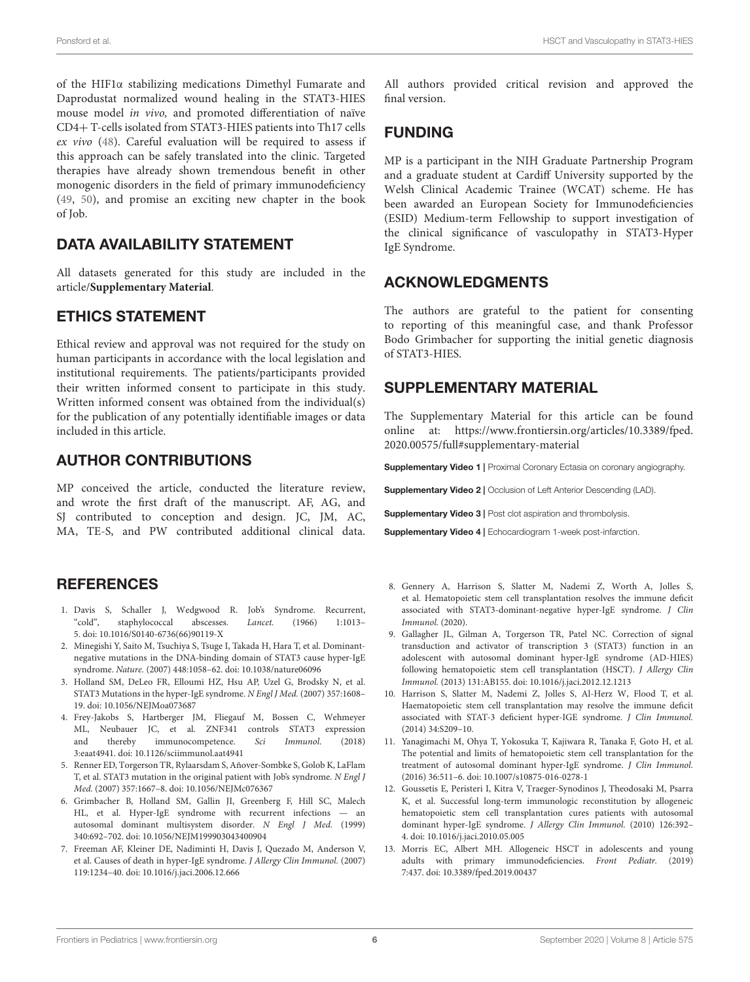of the HIF1α stabilizing medications Dimethyl Fumarate and Daprodustat normalized wound healing in the STAT3-HIES mouse model in vivo, and promoted differentiation of naïve CD4+ T-cells isolated from STAT3-HIES patients into Th17 cells ex vivo [\(48\)](#page-6-34). Careful evaluation will be required to assess if this approach can be safely translated into the clinic. Targeted therapies have already shown tremendous benefit in other monogenic disorders in the field of primary immunodeficiency [\(49,](#page-6-35) [50\)](#page-7-0), and promise an exciting new chapter in the book of Job.

#### DATA AVAILABILITY STATEMENT

All datasets generated for this study are included in the article/**[Supplementary Material](#page-5-12)**.

#### ETHICS STATEMENT

Ethical review and approval was not required for the study on human participants in accordance with the local legislation and institutional requirements. The patients/participants provided their written informed consent to participate in this study. Written informed consent was obtained from the individual(s) for the publication of any potentially identifiable images or data included in this article.

#### AUTHOR CONTRIBUTIONS

MP conceived the article, conducted the literature review, and wrote the first draft of the manuscript. AF, AG, and SJ contributed to conception and design. JC, JM, AC, MA, TE-S, and PW contributed additional clinical data.

#### **REFERENCES**

- <span id="page-5-0"></span>1. Davis S, Schaller J, Wedgwood R. Job's Syndrome. Recurrent, "cold", staphylococcal abscesses. Lancet. (1966) 1:1013– 5. doi: [10.1016/S0140-6736\(66\)90119-X](https://doi.org/10.1016/S0140-6736(66)90119-X)
- <span id="page-5-1"></span>2. Minegishi Y, Saito M, Tsuchiya S, Tsuge I, Takada H, Hara T, et al. Dominantnegative mutations in the DNA-binding domain of STAT3 cause hyper-IgE syndrome. Nature. (2007) 448:1058–62. doi: [10.1038/nature06096](https://doi.org/10.1038/nature06096)
- 3. Holland SM, DeLeo FR, Elloumi HZ, Hsu AP, Uzel G, Brodsky N, et al. STAT3 Mutations in the hyper-IgE syndrome. N Engl J Med. (2007) 357:1608– 19. doi: [10.1056/NEJMoa073687](https://doi.org/10.1056/NEJMoa073687)
- 4. Frey-Jakobs S, Hartberger JM, Fliegauf M, Bossen C, Wehmeyer ML, Neubauer JC, et al. ZNF341 controls STAT3 expression and thereby immunocompetence. Sci Immunol. (2018) 3:eaat4941. doi: [10.1126/sciimmunol.aat4941](https://doi.org/10.1126/sciimmunol.aat4941)
- <span id="page-5-2"></span>5. Renner ED, Torgerson TR, Rylaarsdam S, Añover-Sombke S, Golob K, LaFlam T, et al. STAT3 mutation in the original patient with Job's syndrome. N Engl J Med. (2007) 357:1667–8. doi: [10.1056/NEJMc076367](https://doi.org/10.1056/NEJMc076367)
- <span id="page-5-3"></span>6. Grimbacher B, Holland SM, Gallin JI, Greenberg F, Hill SC, Malech HL, et al. Hyper-IgE syndrome with recurrent infections — an autosomal dominant multisystem disorder. N Engl J Med. (1999) 340:692–702. doi: [10.1056/NEJM199903043400904](https://doi.org/10.1056/NEJM199903043400904)
- <span id="page-5-4"></span>7. Freeman AF, Kleiner DE, Nadiminti H, Davis J, Quezado M, Anderson V, et al. Causes of death in hyper-IgE syndrome. J Allergy Clin Immunol. (2007) 119:1234–40. doi: [10.1016/j.jaci.2006.12.666](https://doi.org/10.1016/j.jaci.2006.12.666)

All authors provided critical revision and approved the final version.

#### FUNDING

MP is a participant in the NIH Graduate Partnership Program and a graduate student at Cardiff University supported by the Welsh Clinical Academic Trainee (WCAT) scheme. He has been awarded an European Society for Immunodeficiencies (ESID) Medium-term Fellowship to support investigation of the clinical significance of vasculopathy in STAT3-Hyper IgE Syndrome.

## ACKNOWLEDGMENTS

The authors are grateful to the patient for consenting to reporting of this meaningful case, and thank Professor Bodo Grimbacher for supporting the initial genetic diagnosis of STAT3-HIES.

#### SUPPLEMENTARY MATERIAL

<span id="page-5-12"></span>The Supplementary Material for this article can be found [online at: https://www.frontiersin.org/articles/10.3389/fped.](https://www.frontiersin.org/articles/10.3389/fped.2020.00575/full#supplementary-material) 2020.00575/full#supplementary-material

<span id="page-5-9"></span>Supplementary Video 1 | Proximal Coronary Ectasia on coronary angiography.

<span id="page-5-10"></span>Supplementary Video 2 | Occlusion of Left Anterior Descending (LAD).

Supplementary Video 3 | Post clot aspiration and thrombolysis.

<span id="page-5-11"></span>Supplementary Video 4 | Echocardiogram 1-week post-infarction.

- <span id="page-5-5"></span>8. Gennery A, Harrison S, Slatter M, Nademi Z, Worth A, Jolles S, et al. Hematopoietic stem cell transplantation resolves the immune deficit associated with STAT3-dominant-negative hyper-IgE syndrome. J Clin Immunol. (2020).
- 9. Gallagher JL, Gilman A, Torgerson TR, Patel NC. Correction of signal transduction and activator of transcription 3 (STAT3) function in an adolescent with autosomal dominant hyper-IgE syndrome (AD-HIES) following hematopoietic stem cell transplantation (HSCT). J Allergy Clin Immunol. (2013) 131:AB155. doi: [10.1016/j.jaci.2012.12.1213](https://doi.org/10.1016/j.jaci.2012.12.1213)
- 10. Harrison S, Slatter M, Nademi Z, Jolles S, Al-Herz W, Flood T, et al. Haematopoietic stem cell transplantation may resolve the immune deficit associated with STAT-3 deficient hyper-IGE syndrome. J Clin Immunol. (2014) 34:S209–10.
- <span id="page-5-6"></span>11. Yanagimachi M, Ohya T, Yokosuka T, Kajiwara R, Tanaka F, Goto H, et al. The potential and limits of hematopoietic stem cell transplantation for the treatment of autosomal dominant hyper-IgE syndrome. J Clin Immunol. (2016) 36:511–6. doi: [10.1007/s10875-016-0278-1](https://doi.org/10.1007/s10875-016-0278-1)
- <span id="page-5-7"></span>12. Goussetis E, Peristeri I, Kitra V, Traeger-Synodinos J, Theodosaki M, Psarra K, et al. Successful long-term immunologic reconstitution by allogeneic hematopoietic stem cell transplantation cures patients with autosomal dominant hyper-IgE syndrome. J Allergy Clin Immunol. (2010) 126:392– 4. doi: [10.1016/j.jaci.2010.05.005](https://doi.org/10.1016/j.jaci.2010.05.005)
- <span id="page-5-8"></span>13. Morris EC, Albert MH. Allogeneic HSCT in adolescents and young adults with primary immunodeficiencies. Front Pediatr. (2019) 7:437. doi: [10.3389/fped.2019.00437](https://doi.org/10.3389/fped.2019.00437)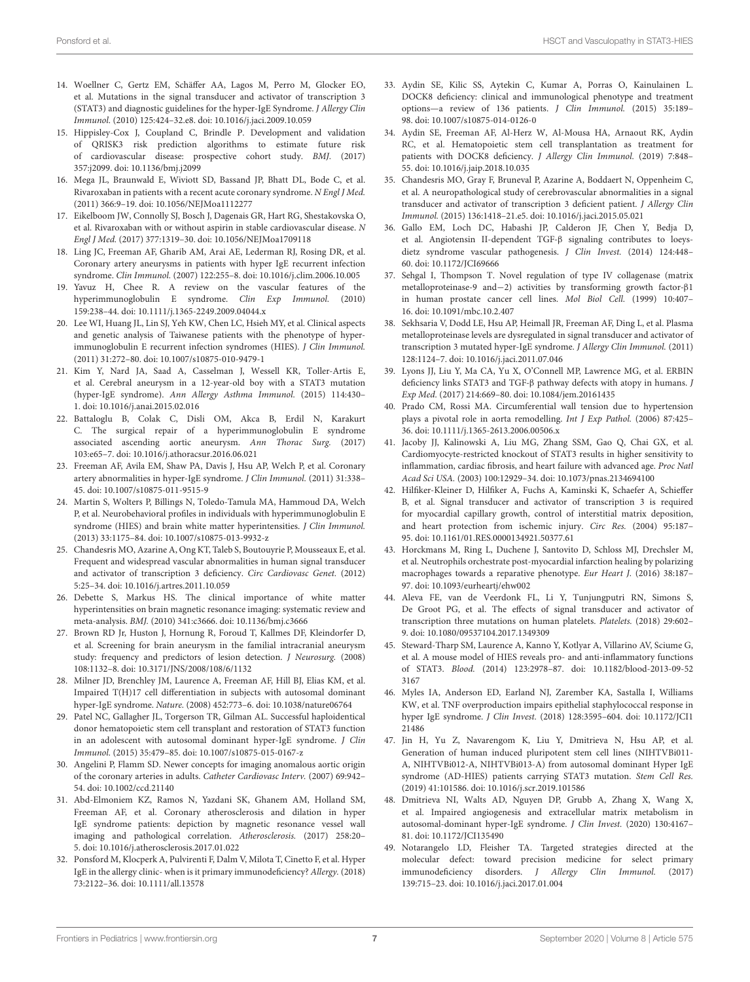- <span id="page-6-0"></span>14. Woellner C, Gertz EM, Schäffer AA, Lagos M, Perro M, Glocker EO, et al. Mutations in the signal transducer and activator of transcription 3 (STAT3) and diagnostic guidelines for the hyper-IgE Syndrome. J Allergy Clin Immunol. (2010) 125:424–32.e8. doi: [10.1016/j.jaci.2009.10.059](https://doi.org/10.1016/j.jaci.2009.10.059)
- <span id="page-6-1"></span>15. Hippisley-Cox J, Coupland C, Brindle P. Development and validation of QRISK3 risk prediction algorithms to estimate future risk of cardiovascular disease: prospective cohort study. BMJ. (2017) 357:j2099. doi: [10.1136/bmj.j2099](https://doi.org/10.1136/bmj.j2099)
- <span id="page-6-2"></span>16. Mega JL, Braunwald E, Wiviott SD, Bassand JP, Bhatt DL, Bode C, et al. Rivaroxaban in patients with a recent acute coronary syndrome. N Engl J Med. (2011) 366:9–19. doi: [10.1056/NEJMoa1112277](https://doi.org/10.1056/NEJMoa1112277)
- <span id="page-6-3"></span>17. Eikelboom JW, Connolly SJ, Bosch J, Dagenais GR, Hart RG, Shestakovska O, et al. Rivaroxaban with or without aspirin in stable cardiovascular disease. N Engl J Med. (2017) 377:1319–30. doi: [10.1056/NEJMoa1709118](https://doi.org/10.1056/NEJMoa1709118)
- <span id="page-6-4"></span>18. Ling JC, Freeman AF, Gharib AM, Arai AE, Lederman RJ, Rosing DR, et al. Coronary artery aneurysms in patients with hyper IgE recurrent infection syndrome. Clin Immunol. (2007) 122:255–8. doi: [10.1016/j.clim.2006.10.005](https://doi.org/10.1016/j.clim.2006.10.005)
- <span id="page-6-5"></span>19. Yavuz H, Chee R. A review on the vascular features of the hyperimmunoglobulin E syndrome. Clin Exp Immunol. (2010) 159:238–44. doi: [10.1111/j.1365-2249.2009.04044.x](https://doi.org/10.1111/j.1365-2249.2009.04044.x)
- <span id="page-6-6"></span>20. Lee WI, Huang JL, Lin SJ, Yeh KW, Chen LC, Hsieh MY, et al. Clinical aspects and genetic analysis of Taiwanese patients with the phenotype of hyperimmunoglobulin E recurrent infection syndromes (HIES). J Clin Immunol. (2011) 31:272–80. doi: [10.1007/s10875-010-9479-1](https://doi.org/10.1007/s10875-010-9479-1)
- <span id="page-6-7"></span>21. Kim Y, Nard JA, Saad A, Casselman J, Wessell KR, Toller-Artis E, et al. Cerebral aneurysm in a 12-year-old boy with a STAT3 mutation (hyper-IgE syndrome). Ann Allergy Asthma Immunol. (2015) 114:430– 1. doi: [10.1016/j.anai.2015.02.016](https://doi.org/10.1016/j.anai.2015.02.016)
- <span id="page-6-8"></span>22. Battaloglu B, Colak C, Disli OM, Akca B, Erdil N, Karakurt C. The surgical repair of a hyperimmunoglobulin E syndrome associated ascending aortic aneurysm. Ann Thorac Surg. (2017) 103:e65–7. doi: [10.1016/j.athoracsur.2016.06.021](https://doi.org/10.1016/j.athoracsur.2016.06.021)
- <span id="page-6-9"></span>23. Freeman AF, Avila EM, Shaw PA, Davis J, Hsu AP, Welch P, et al. Coronary artery abnormalities in hyper-IgE syndrome. J Clin Immunol. (2011) 31:338– 45. doi: [10.1007/s10875-011-9515-9](https://doi.org/10.1007/s10875-011-9515-9)
- <span id="page-6-12"></span>24. Martin S, Wolters P, Billings N, Toledo-Tamula MA, Hammoud DA, Welch P, et al. Neurobehavioral profiles in individuals with hyperimmunoglobulin E syndrome (HIES) and brain white matter hyperintensities. J Clin Immunol. (2013) 33:1175–84. doi: [10.1007/s10875-013-9932-z](https://doi.org/10.1007/s10875-013-9932-z)
- <span id="page-6-10"></span>25. Chandesris MO, Azarine A, Ong KT, Taleb S, Boutouyrie P, Mousseaux E, et al. Frequent and widespread vascular abnormalities in human signal transducer and activator of transcription 3 deficiency. Circ Cardiovasc Genet. (2012) 5:25–34. doi: [10.1016/j.artres.2011.10.059](https://doi.org/10.1016/j.artres.2011.10.059)
- <span id="page-6-11"></span>26. Debette S, Markus HS. The clinical importance of white matter hyperintensities on brain magnetic resonance imaging: systematic review and meta-analysis. BMJ. (2010) 341:c3666. doi: [10.1136/bmj.c3666](https://doi.org/10.1136/bmj.c3666)
- <span id="page-6-13"></span>27. Brown RD Jr, Huston J, Hornung R, Foroud T, Kallmes DF, Kleindorfer D, et al. Screening for brain aneurysm in the familial intracranial aneurysm study: frequency and predictors of lesion detection. J Neurosurg. (2008) 108:1132–8. doi: [10.3171/JNS/2008/108/6/1132](https://doi.org/10.3171/JNS/2008/108/6/1132)
- <span id="page-6-14"></span>28. Milner JD, Brenchley JM, Laurence A, Freeman AF, Hill BJ, Elias KM, et al. Impaired T(H)17 cell differentiation in subjects with autosomal dominant hyper-IgE syndrome. Nature. (2008) 452:773–6. doi: [10.1038/nature06764](https://doi.org/10.1038/nature06764)
- <span id="page-6-15"></span>29. Patel NC, Gallagher JL, Torgerson TR, Gilman AL. Successful haploidentical donor hematopoietic stem cell transplant and restoration of STAT3 function in an adolescent with autosomal dominant hyper-IgE syndrome. J Clin Immunol. (2015) 35:479–85. doi: [10.1007/s10875-015-0167-z](https://doi.org/10.1007/s10875-015-0167-z)
- <span id="page-6-16"></span>30. Angelini P, Flamm SD. Newer concepts for imaging anomalous aortic origin of the coronary arteries in adults. Catheter Cardiovasc Interv. (2007) 69:942– 54. doi: [10.1002/ccd.21140](https://doi.org/10.1002/ccd.21140)
- <span id="page-6-17"></span>31. Abd-Elmoniem KZ, Ramos N, Yazdani SK, Ghanem AM, Holland SM, Freeman AF, et al. Coronary atherosclerosis and dilation in hyper IgE syndrome patients: depiction by magnetic resonance vessel wall imaging and pathological correlation. Atherosclerosis. (2017) 258:20– 5. doi: [10.1016/j.atherosclerosis.2017.01.022](https://doi.org/10.1016/j.atherosclerosis.2017.01.022)
- <span id="page-6-18"></span>32. Ponsford M, Klocperk A, Pulvirenti F, Dalm V, Milota T, Cinetto F, et al. Hyper IgE in the allergy clinic- when is it primary immunodeficiency? Allergy. (2018) 73:2122–36. doi: [10.1111/all.13578](https://doi.org/10.1111/all.13578)
- <span id="page-6-19"></span>33. Aydin SE, Kilic SS, Aytekin C, Kumar A, Porras O, Kainulainen L. DOCK8 deficiency: clinical and immunological phenotype and treatment options—a review of 136 patients. J Clin Immunol. (2015) 35:189– 98. doi: [10.1007/s10875-014-0126-0](https://doi.org/10.1007/s10875-014-0126-0)
- <span id="page-6-20"></span>34. Aydin SE, Freeman AF, Al-Herz W, Al-Mousa HA, Arnaout RK, Aydin RC, et al. Hematopoietic stem cell transplantation as treatment for patients with DOCK8 deficiency. J Allergy Clin Immunol. (2019) 7:848– 55. doi: [10.1016/j.jaip.2018.10.035](https://doi.org/10.1016/j.jaip.2018.10.035)
- <span id="page-6-21"></span>35. Chandesris MO, Gray F, Bruneval P, Azarine A, Boddaert N, Oppenheim C, et al. A neuropathological study of cerebrovascular abnormalities in a signal transducer and activator of transcription 3 deficient patient. J Allergy Clin Immunol. (2015) 136:1418–21.e5. doi: [10.1016/j.jaci.2015.05.021](https://doi.org/10.1016/j.jaci.2015.05.021)
- <span id="page-6-22"></span>36. Gallo EM, Loch DC, Habashi JP, Calderon JF, Chen Y, Bedja D, et al. Angiotensin II-dependent TGF-β signaling contributes to loeysdietz syndrome vascular pathogenesis. J Clin Invest. (2014) 124:448– 60. doi: [10.1172/JCI69666](https://doi.org/10.1172/JCI69666)
- <span id="page-6-23"></span>37. Sehgal I, Thompson T. Novel regulation of type IV collagenase (matrix metalloproteinase-9 and−2) activities by transforming growth factor-β1 in human prostate cancer cell lines. Mol Biol Cell. (1999) 10:407– 16. doi: [10.1091/mbc.10.2.407](https://doi.org/10.1091/mbc.10.2.407)
- <span id="page-6-24"></span>38. Sekhsaria V, Dodd LE, Hsu AP, Heimall JR, Freeman AF, Ding L, et al. Plasma metalloproteinase levels are dysregulated in signal transducer and activator of transcription 3 mutated hyper-IgE syndrome. J Allergy Clin Immunol. (2011) 128:1124–7. doi: [10.1016/j.jaci.2011.07.046](https://doi.org/10.1016/j.jaci.2011.07.046)
- <span id="page-6-25"></span>39. Lyons JJ, Liu Y, Ma CA, Yu X, O'Connell MP, Lawrence MG, et al. ERBIN deficiency links STAT3 and TGF-β pathway defects with atopy in humans. J Exp Med. (2017) 214:669–80. doi: [10.1084/jem.20161435](https://doi.org/10.1084/jem.20161435)
- <span id="page-6-26"></span>40. Prado CM, Rossi MA. Circumferential wall tension due to hypertension plays a pivotal role in aorta remodelling. Int J Exp Pathol. (2006) 87:425– 36. doi: [10.1111/j.1365-2613.2006.00506.x](https://doi.org/10.1111/j.1365-2613.2006.00506.x)
- <span id="page-6-27"></span>41. Jacoby JJ, Kalinowski A, Liu MG, Zhang SSM, Gao Q, Chai GX, et al. Cardiomyocyte-restricted knockout of STAT3 results in higher sensitivity to inflammation, cardiac fibrosis, and heart failure with advanced age. Proc Natl Acad Sci USA. (2003) 100:12929–34. doi: [10.1073/pnas.2134694100](https://doi.org/10.1073/pnas.2134694100)
- <span id="page-6-28"></span>42. Hilfiker-Kleiner D, Hilfiker A, Fuchs A, Kaminski K, Schaefer A, Schieffer B, et al. Signal transducer and activator of transcription 3 is required for myocardial capillary growth, control of interstitial matrix deposition, and heart protection from ischemic injury. Circ Res. (2004) 95:187– 95. doi: [10.1161/01.RES.0000134921.50377.61](https://doi.org/10.1161/01.RES.0000134921.50377.61)
- <span id="page-6-29"></span>43. Horckmans M, Ring L, Duchene J, Santovito D, Schloss MJ, Drechsler M, et al. Neutrophils orchestrate post-myocardial infarction healing by polarizing macrophages towards a reparative phenotype. Eur Heart J. (2016) 38:187– 97. doi: [10.1093/eurheartj/ehw002](https://doi.org/10.1093/eurheartj/ehw002)
- <span id="page-6-30"></span>44. Aleva FE, van de Veerdonk FL, Li Y, Tunjungputri RN, Simons S, De Groot PG, et al. The effects of signal transducer and activator of transcription three mutations on human platelets. Platelets. (2018) 29:602– 9. doi: [10.1080/09537104.2017.1349309](https://doi.org/10.1080/09537104.2017.1349309)
- <span id="page-6-31"></span>45. Steward-Tharp SM, Laurence A, Kanno Y, Kotlyar A, Villarino AV, Sciume G, et al. A mouse model of HIES reveals pro- and anti-inflammatory functions of STAT3. Blood. [\(2014\) 123:2978–87. doi: 10.1182/blood-2013-09-52](https://doi.org/10.1182/blood-2013-09-523167) 3167
- <span id="page-6-32"></span>46. Myles IA, Anderson ED, Earland NJ, Zarember KA, Sastalla I, Williams KW, et al. TNF overproduction impairs epithelial staphylococcal response in hyper IgE syndrome. J Clin Invest. [\(2018\) 128:3595–604. doi: 10.1172/JCI1](https://doi.org/10.1172/JCI121486) 21486
- <span id="page-6-33"></span>47. Jin H, Yu Z, Navarengom K, Liu Y, Dmitrieva N, Hsu AP, et al. Generation of human induced pluripotent stem cell lines (NIHTVBi011- A, NIHTVBi012-A, NIHTVBi013-A) from autosomal dominant Hyper IgE syndrome (AD-HIES) patients carrying STAT3 mutation. Stem Cell Res. (2019) 41:101586. doi: [10.1016/j.scr.2019.101586](https://doi.org/10.1016/j.scr.2019.101586)
- <span id="page-6-34"></span>48. Dmitrieva NI, Walts AD, Nguyen DP, Grubb A, Zhang X, Wang X, et al. Impaired angiogenesis and extracellular matrix metabolism in autosomal-dominant hyper-IgE syndrome. J Clin Invest. (2020) 130:4167– 81. doi: [10.1172/JCI135490](https://doi.org/10.1172/JCI135490)
- <span id="page-6-35"></span>49. Notarangelo LD, Fleisher TA. Targeted strategies directed at the molecular defect: toward precision medicine for select primary immunodeficiency disorders. J Allergy Clin Immunol. (2017) 139:715–23. doi: [10.1016/j.jaci.2017.01.004](https://doi.org/10.1016/j.jaci.2017.01.004)